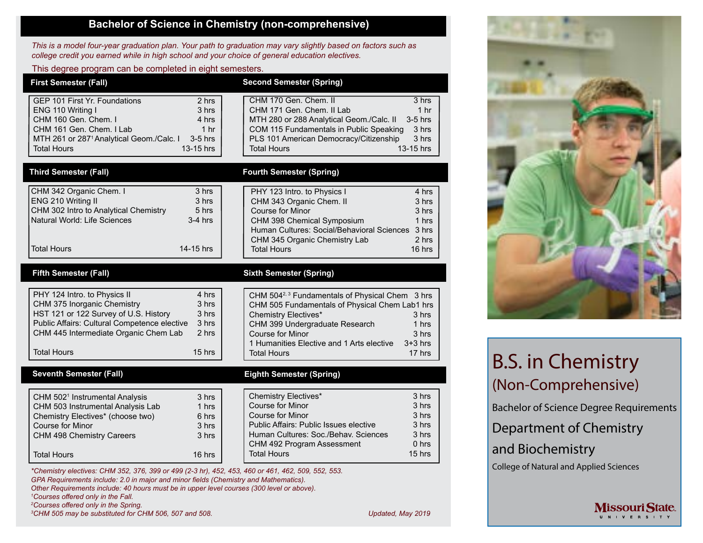## **Bachelor of Science in Chemistry (non-comprehensive)**

*This is a model four-year graduation plan. Your path to graduation may vary slightly based on factors such as college credit you earned while in high school and your choice of general education electives.*

#### This degree program can be completed in eight semesters.

| <b>First Semester (Fall)</b>                                                                                                                                                                                                                                               | <b>Second Semester (Spring)</b>                                                                                                                                                                                                                                                                                                           |
|----------------------------------------------------------------------------------------------------------------------------------------------------------------------------------------------------------------------------------------------------------------------------|-------------------------------------------------------------------------------------------------------------------------------------------------------------------------------------------------------------------------------------------------------------------------------------------------------------------------------------------|
| GEP 101 First Yr. Foundations<br>2 hrs<br>ENG 110 Writing I<br>3 hrs<br>CHM 160 Gen. Chem. I<br>4 hrs<br>CHM 161 Gen. Chem. I Lab<br>1 <sub>hr</sub><br>MTH 261 or 287 <sup>1</sup> Analytical Geom./Calc. I<br>$3-5$ hrs<br>13-15 hrs<br>Total Hours                      | CHM 170 Gen. Chem. II<br>3 hrs<br>CHM 171 Gen. Chem. II Lab<br>1 <sub>hr</sub><br>$3-5$ hrs<br>MTH 280 or 288 Analytical Geom./Calc. II<br>COM 115 Fundamentals in Public Speaking<br>3 hrs<br>PLS 101 American Democracy/Citizenship<br>3 hrs<br><b>Total Hours</b><br>13-15 hrs                                                         |
| <b>Third Semester (Fall)</b>                                                                                                                                                                                                                                               | <b>Fourth Semester (Spring)</b>                                                                                                                                                                                                                                                                                                           |
| CHM 342 Organic Chem. I<br>3 hrs<br>ENG 210 Writing II<br>3 hrs<br>CHM 302 Intro to Analytical Chemistry<br>5 hrs<br>Natural World: Life Sciences<br>$3-4$ hrs<br><b>Total Hours</b><br>14-15 hrs                                                                          | PHY 123 Intro. to Physics I<br>4 hrs<br>CHM 343 Organic Chem. II<br>3 hrs<br>Course for Minor<br>3 hrs<br>CHM 398 Chemical Symposium<br>1 hrs<br>Human Cultures: Social/Behavioral Sciences 3 hrs<br>CHM 345 Organic Chemistry Lab<br>2 hrs<br><b>Total Hours</b><br>16 hrs                                                               |
| <b>Fifth Semester (Fall)</b>                                                                                                                                                                                                                                               | <b>Sixth Semester (Spring)</b>                                                                                                                                                                                                                                                                                                            |
| 4 hrs<br>PHY 124 Intro. to Physics II<br>CHM 375 Inorganic Chemistry<br>3 hrs<br>HST 121 or 122 Survey of U.S. History<br>3 hrs<br>Public Affairs: Cultural Competence elective<br>3 hrs<br>CHM 445 Intermediate Organic Chem Lab<br>2 hrs<br><b>Total Hours</b><br>15 hrs | CHM 504 <sup>2, 3</sup> Fundamentals of Physical Chem 3 hrs<br>CHM 505 Fundamentals of Physical Chem Lab1 hrs<br><b>Chemistry Electives*</b><br>3 <sub>hrs</sub><br>CHM 399 Undergraduate Research<br>1 hrs<br><b>Course for Minor</b><br>3 hrs<br>1 Humanities Elective and 1 Arts elective<br>$3+3$ hrs<br><b>Total Hours</b><br>17 hrs |
| <b>Seventh Semester (Fall)</b>                                                                                                                                                                                                                                             | <b>Eighth Semester (Spring)</b>                                                                                                                                                                                                                                                                                                           |
| CHM 502 <sup>1</sup> Instrumental Analysis<br>3 hrs<br>CHM 503 Instrumental Analysis Lab<br>1 hrs<br>Chemistry Electives* (choose two)<br>6 hrs<br><b>Course for Minor</b><br>3 hrs<br>3 hrs<br>CHM 498 Chemistry Careers<br><b>Total Hours</b><br>16 hrs                  | <b>Chemistry Electives*</b><br>3 hrs<br><b>Course for Minor</b><br>3 hrs<br><b>Course for Minor</b><br>3 hrs<br>Public Affairs: Public Issues elective<br>3 hrs<br>Human Cultures: Soc./Behav. Sciences<br>3 hrs<br>CHM 492 Program Assessment<br>$0$ hrs<br><b>Total Hours</b><br>15 hrs                                                 |

*\*Chemistry electives: CHM 352, 376, 399 or 499 (2-3 hr), 452, 453, 460 or 461, 462, 509, 552, 553. GPA Requirements include: 2.0 in major and minor fields (Chemistry and Mathematics). Other Requirements include: 40 hours must be in upper level courses (300 level or above). 1 Courses offered only in the Fall. 2 Courses offered only in the Spring.*

*3 CHM 505 may be substituted for CHM 506, 507 and 508. Updated, May 2019*



# B.S. in Chemistry (Non-Comprehensive)

Bachelor of Science Degree Requirements

**Missouri State** U N I V E R S I T Y

Department of Chemistry

and Biochemistry

College of Natural and Applied Sciences